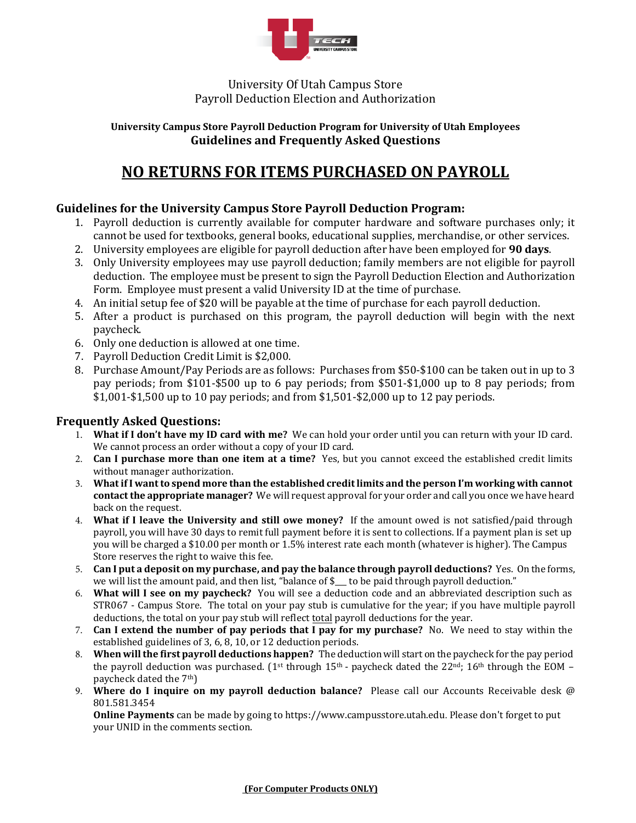

## University Of Utah Campus Store Payroll Deduction Election and Authorization

#### **University Campus Store Payroll Deduction Program for University of Utah Employees Guidelines and Frequently Asked Questions**

# **NO RETURNS FOR ITEMS PURCHASED ON PAYROLL**

## **Guidelines for the University Campus Store Payroll Deduction Program:**

- 1. Payroll deduction is currently available for computer hardware and software purchases only; it cannot be used for textbooks, general books, educational supplies, merchandise, or other services.
- 2. University employees are eligible for payroll deduction after have been employed for **90 days**.
- 3. Only University employees may use payroll deduction; family members are not eligible for payroll deduction. The employee must be present to sign the Payroll Deduction Election and Authorization Form. Employee must present a valid University ID at the time of purchase.
- 4. An initial setup fee of \$20 will be payable at the time of purchase for each payroll deduction.
- 5. After a product is purchased on this program, the payroll deduction will begin with the next paycheck.
- 6. Only one deduction is allowed at one time.
- 7. Payroll Deduction Credit Limit is \$2,000.
- 8. Purchase Amount/Pay Periods are as follows: Purchases from \$50-\$100 can be taken out in up to 3 pay periods; from \$101-\$500 up to 6 pay periods; from \$501-\$1,000 up to 8 pay periods; from \$1,001-\$1,500 up to 10 pay periods; and from \$1,501-\$2,000 up to 12 pay periods.

### **Frequently Asked Questions:**

- 1. **What if I don't have my ID card with me?** We can hold your order until you can return with your ID card. We cannot process an order without a copy of your ID card.
- 2. **Can I purchase more than one item at a time?** Yes, but you cannot exceed the established credit limits without manager authorization.
- 3. **Whatif I want to spend more than the established credit limits and the person I'm working with cannot contact the appropriate manager?** We will request approval for your order and call you once we have heard back on the request.
- 4. **What if I leave the University and still owe money?** If the amount owed is not satisfied/paid through payroll, you will have 30 days to remit full payment before it is sent to collections. If a payment plan is set up you will be charged a \$10.00 per month or 1.5% interest rate each month (whatever is higher). The Campus Store reserves the right to waive this fee.
- 5. **Can I put a deposit on my purchase, and pay the balance through payroll deductions?** Yes. On the forms, we will list the amount paid, and then list, "balance of \$\_\_\_ to be paid through payroll deduction."
- 6. **What will I see on my paycheck?** You will see a deduction code and an abbreviated description such as STR067 - Campus Store. The total on your pay stub is cumulative for the year; if you have multiple payroll deductions, the total on your pay stub will reflect total payroll deductions for the year.
- 7. **Can I extend the number of pay periods that I pay for my purchase?** No. We need to stay within the established guidelines of 3, 6, 8, 10, or 12 deduction periods.
- 8. **When will the first payroll deductions happen?** The deduction will start on the paycheck for the pay period the payroll deduction was purchased. (1<sup>st</sup> through 15<sup>th</sup> - paycheck dated the 22<sup>nd</sup>; 16<sup>th</sup> through the EOM – paycheck dated the 7th)
- 9. **Where do I inquire on my payroll deduction balance?** Please call our Accounts Receivable desk @ 801.581.3454

**Online Payments** can be made by going to [https://www.campusstore.utah.edu](https://www.campusstore.utah.edu/utah/U-of-U/UTECH-Accessories/Computer-Purchase-Payment/Computer-Purchase-Payment). Please don't forget to put your UNID in the comments section.